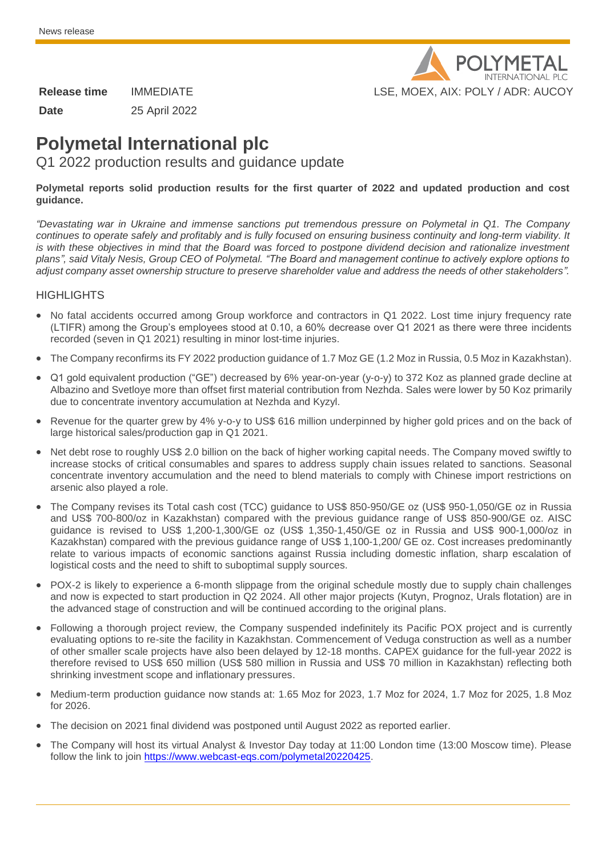

**Date** 25 April 2022

# **Polymetal International plc**

Q1 2022 production results and guidance update

#### **Polymetal reports solid production results for the first quarter of 2022 and updated production and cost guidance.**

*"Devastating war in Ukraine and immense sanctions put tremendous pressure on Polymetal in Q1. The Company continues to operate safely and profitably and is fully focused on ensuring business continuity and long-term viability. It is with these objectives in mind that the Board was forced to postpone dividend decision and rationalize investment plans", said Vitaly Nesis, Group CEO of Polymetal. "The Board and management continue to actively explore options to adjust company asset ownership structure to preserve shareholder value and address the needs of other stakeholders".*

#### **HIGHLIGHTS**

- No fatal accidents occurred among Group workforce and contractors in Q1 2022. Lost time injury frequency rate (LTIFR) among the Group's employees stood at 0.10, a 60% decrease over Q1 2021 as there were three incidents recorded (seven in Q1 2021) resulting in minor lost-time injuries.
- The Company reconfirms its FY 2022 production guidance of 1.7 Moz GE (1.2 Moz in Russia, 0.5 Moz in Kazakhstan).
- Q1 gold equivalent production ("GE") decreased by 6% year-on-year (y-o-y) to 372 Koz as planned grade decline at Albazino and Svetloye more than offset first material contribution from Nezhda. Sales were lower by 50 Koz primarily due to concentrate inventory accumulation at Nezhda and Kyzyl.
- Revenue for the quarter grew by 4% y-o-y to US\$ 616 million underpinned by higher gold prices and on the back of large historical sales/production gap in Q1 2021.
- Net debt rose to roughly US\$ 2.0 billion on the back of higher working capital needs. The Company moved swiftly to increase stocks of critical consumables and spares to address supply chain issues related to sanctions. Seasonal concentrate inventory accumulation and the need to blend materials to comply with Chinese import restrictions on arsenic also played a role.
- The Company revises its Total cash cost (TCC) guidance to US\$ 850-950/GE oz (US\$ 950-1,050/GE oz in Russia and US\$ 700-800/oz in Kazakhstan) compared with the previous guidance range of US\$ 850-900/GE oz. AISC guidance is revised to US\$ 1,200-1,300/GE oz (US\$ 1,350-1,450/GE oz in Russia and US\$ 900-1,000/oz in Kazakhstan) compared with the previous guidance range of US\$ 1,100-1,200/ GE oz. Cost increases predominantly relate to various impacts of economic sanctions against Russia including domestic inflation, sharp escalation of logistical costs and the need to shift to suboptimal supply sources.
- POX-2 is likely to experience a 6-month slippage from the original schedule mostly due to supply chain challenges and now is expected to start production in Q2 2024. All other major projects (Kutyn, Prognoz, Urals flotation) are in the advanced stage of construction and will be continued according to the original plans.
- Following a thorough project review, the Company suspended indefinitely its Pacific POX project and is currently evaluating options to re-site the facility in Kazakhstan. Commencement of Veduga construction as well as a number of other smaller scale projects have also been delayed by 12-18 months. CAPEX guidance for the full-year 2022 is therefore revised to US\$ 650 million (US\$ 580 million in Russia and US\$ 70 million in Kazakhstan) reflecting both shrinking investment scope and inflationary pressures.
- Medium-term production guidance now stands at: 1.65 Moz for 2023, 1.7 Moz for 2024, 1.7 Moz for 2025, 1.8 Moz for 2026.
- The decision on 2021 final dividend was postponed until August 2022 as reported earlier.
- The Company will host its virtual Analyst & Investor Day today at 11:00 London time (13:00 Moscow time). Please follow the link to join [https://www.webcast-eqs.com/polymetal20220425.](https://www.webcast-eqs.com/polymetal20220425)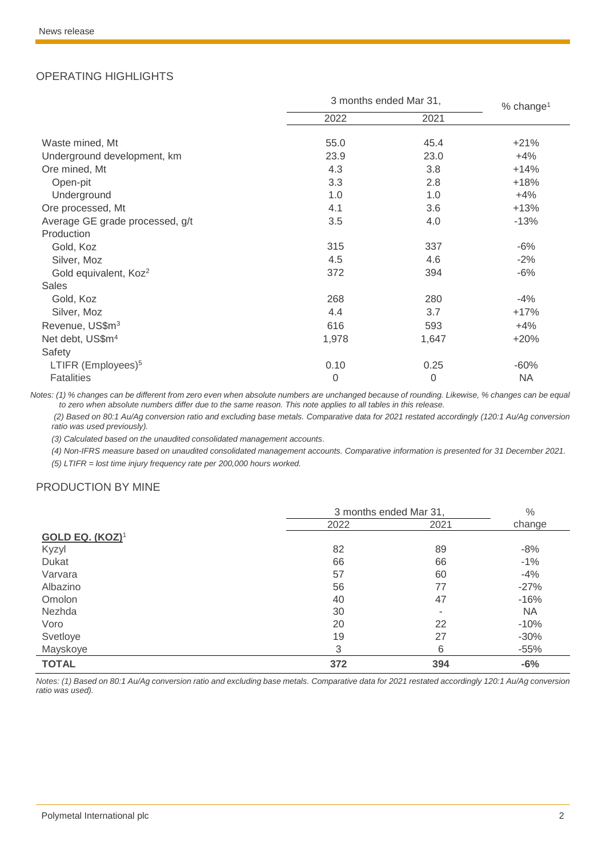### OPERATING HIGHLIGHTS

|                                   | 3 months ended Mar 31, |          | % change <sup>1</sup> |  |
|-----------------------------------|------------------------|----------|-----------------------|--|
|                                   | 2022                   | 2021     |                       |  |
| Waste mined, Mt                   | 55.0                   | 45.4     | $+21%$                |  |
| Underground development, km       | 23.9                   | 23.0     | $+4%$                 |  |
| Ore mined, Mt                     | 4.3                    | 3.8      | $+14%$                |  |
| Open-pit                          | 3.3                    | 2.8      | $+18%$                |  |
| Underground                       | 1.0                    | 1.0      | $+4%$                 |  |
| Ore processed, Mt                 | 4.1                    | 3.6      | $+13%$                |  |
| Average GE grade processed, g/t   | 3.5                    | 4.0      | $-13%$                |  |
| Production                        |                        |          |                       |  |
| Gold, Koz                         | 315                    | 337      | $-6\%$                |  |
| Silver, Moz                       | 4.5                    | 4.6      | $-2%$                 |  |
| Gold equivalent, Koz <sup>2</sup> | 372                    | 394      | $-6%$                 |  |
| <b>Sales</b>                      |                        |          |                       |  |
| Gold, Koz                         | 268                    | 280      | $-4%$                 |  |
| Silver, Moz                       | 4.4                    | 3.7      | $+17%$                |  |
| Revenue, US\$m <sup>3</sup>       | 616                    | 593      | $+4%$                 |  |
| Net debt, US\$m <sup>4</sup>      | 1,978                  | 1,647    | $+20%$                |  |
| Safety                            |                        |          |                       |  |
| LTIFR (Employees) <sup>5</sup>    | 0.10                   | 0.25     | $-60%$                |  |
| <b>Fatalities</b>                 | 0                      | $\Omega$ | <b>NA</b>             |  |

*Notes: (1) % changes can be different from zero even when absolute numbers are unchanged because of rounding. Likewise, % changes can be equal to zero when absolute numbers differ due to the same reason. This note applies to all tables in this release.*

*(2) Based on 80:1 Au/Ag conversion ratio and excluding base metals. Comparative data for 2021 restated accordingly (120:1 Au/Ag conversion ratio was used previously).*

*(3) Calculated based on the unaudited consolidated management accounts.*

(4) Non-IFRS measure based on unaudited consolidated management accounts. Comparative information is presented for 31 December 2021.

*(5) LTIFR = lost time injury frequency rate per 200,000 hours worked.* 

#### PRODUCTION BY MINE

|                        | 3 months ended Mar 31, |      | $\%$      |
|------------------------|------------------------|------|-----------|
|                        | 2022                   | 2021 | change    |
| <b>GOLD EQ. (KOZ)1</b> |                        |      |           |
| Kyzyl                  | 82                     | 89   | $-8%$     |
| Dukat                  | 66                     | 66   | $-1%$     |
| Varvara                | 57                     | 60   | $-4%$     |
| Albazino               | 56                     | 77   | $-27%$    |
| Omolon                 | 40                     | 47   | $-16%$    |
| Nezhda                 | 30                     | ٠    | <b>NA</b> |
| Voro                   | 20                     | 22   | $-10%$    |
| Svetloye               | 19                     | 27   | $-30%$    |
| Mayskoye               | 3                      | 6    | $-55%$    |
| <b>TOTAL</b>           | 372                    | 394  | $-6%$     |

*Notes: (1) Based on 80:1 Au/Ag conversion ratio and excluding base metals. Comparative data for 2021 restated accordingly 120:1 Au/Ag conversion ratio was used).*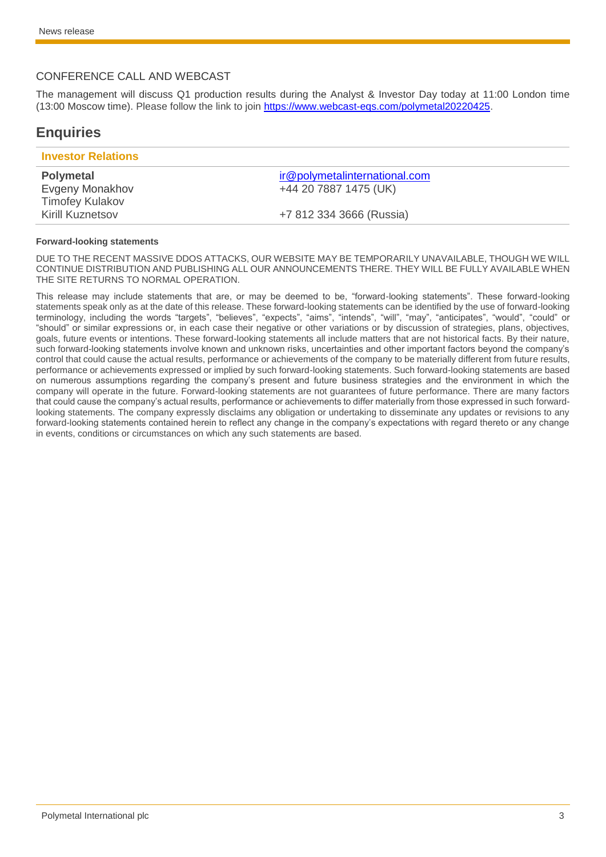#### CONFERENCE CALL AND WEBCAST

The management will discuss Q1 production results during the Analyst & Investor Day today at 11:00 London time (13:00 Moscow time). Please follow the link to join [https://www.webcast-eqs.com/polymetal20220425.](https://www.webcast-eqs.com/polymetal20220425)

## **Enquiries**

| <b>Investor Relations</b> |                               |
|---------------------------|-------------------------------|
| <b>Polymetal</b>          | ir@polymetalinternational.com |
| Evgeny Monakhov           | +44 20 7887 1475 (UK)         |
| <b>Timofey Kulakov</b>    |                               |
| <b>Kirill Kuznetsov</b>   | +7 812 334 3666 (Russia)      |

#### **Forward-looking statements**

DUE TO THE RECENT MASSIVE DDOS ATTACKS, OUR WEBSITE MAY BE TEMPORARILY UNAVAILABLE, THOUGH WE WILL CONTINUE DISTRIBUTION AND PUBLISHING ALL OUR ANNOUNCEMENTS THERE. THEY WILL BE FULLY AVAILABLE WHEN THE SITE RETURNS TO NORMAL OPERATION.

This release may include statements that are, or may be deemed to be, "forward-looking statements". These forward-looking statements speak only as at the date of this release. These forward-looking statements can be identified by the use of forward-looking terminology, including the words "targets", "believes", "expects", "aims", "intends", "will", "may", "anticipates", "would", "could" or "should" or similar expressions or, in each case their negative or other variations or by discussion of strategies, plans, objectives, goals, future events or intentions. These forward-looking statements all include matters that are not historical facts. By their nature, such forward-looking statements involve known and unknown risks, uncertainties and other important factors beyond the company's control that could cause the actual results, performance or achievements of the company to be materially different from future results, performance or achievements expressed or implied by such forward-looking statements. Such forward-looking statements are based on numerous assumptions regarding the company's present and future business strategies and the environment in which the company will operate in the future. Forward-looking statements are not guarantees of future performance. There are many factors that could cause the company's actual results, performance or achievements to differ materially from those expressed in such forwardlooking statements. The company expressly disclaims any obligation or undertaking to disseminate any updates or revisions to any forward-looking statements contained herein to reflect any change in the company's expectations with regard thereto or any change in events, conditions or circumstances on which any such statements are based.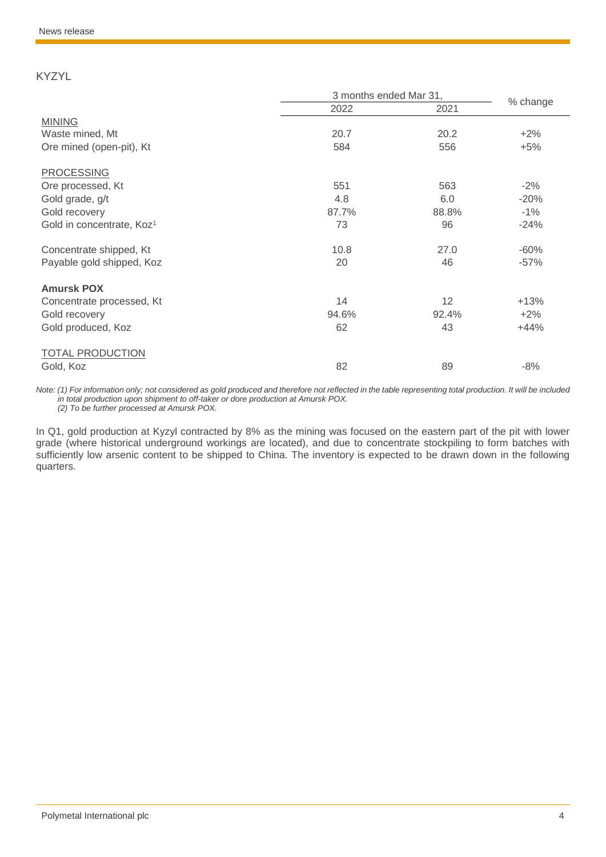KYZYL

|                                       | 3 months ended Mar 31, |       |          |  |
|---------------------------------------|------------------------|-------|----------|--|
|                                       | 2022                   | 2021  | % change |  |
| <b>MINING</b>                         |                        |       |          |  |
| Waste mined, Mt                       | 20.7                   | 20.2  | $+2%$    |  |
| Ore mined (open-pit), Kt              | 584                    | 556   | $+5%$    |  |
| <b>PROCESSING</b>                     |                        |       |          |  |
| Ore processed, Kt                     | 551                    | 563   | $-2%$    |  |
| Gold grade, g/t                       | 4.8                    | 6.0   | $-20%$   |  |
| Gold recovery                         | 87.7%                  | 88.8% | $-1%$    |  |
| Gold in concentrate, Koz <sup>1</sup> | 73                     | 96    | $-24%$   |  |
| Concentrate shipped, Kt               | 10.8                   | 27.0  | $-60%$   |  |
| Payable gold shipped, Koz             | 20                     | 46    | $-57%$   |  |
| <b>Amursk POX</b>                     |                        |       |          |  |
| Concentrate processed, Kt             | 14                     | 12    | $+13%$   |  |
| Gold recovery                         | 94.6%                  | 92.4% | $+2%$    |  |
| Gold produced, Koz                    | 62                     | 43    | $+44%$   |  |
| <b>TOTAL PRODUCTION</b>               |                        |       |          |  |
| Gold, Koz                             | 82                     | 89    | $-8%$    |  |

*Note: (1) For information only; not considered as gold produced and therefore not reflected in the table representing total production. It will be included in total production upon shipment to off-taker or dore production at Amursk POX. (2) To be further processed at Amursk POX.*

In Q1, gold production at Kyzyl contracted by 8% as the mining was focused on the eastern part of the pit with lower grade (where historical underground workings are located), and due to concentrate stockpiling to form batches with sufficiently low arsenic content to be shipped to China. The inventory is expected to be drawn down in the following quarters.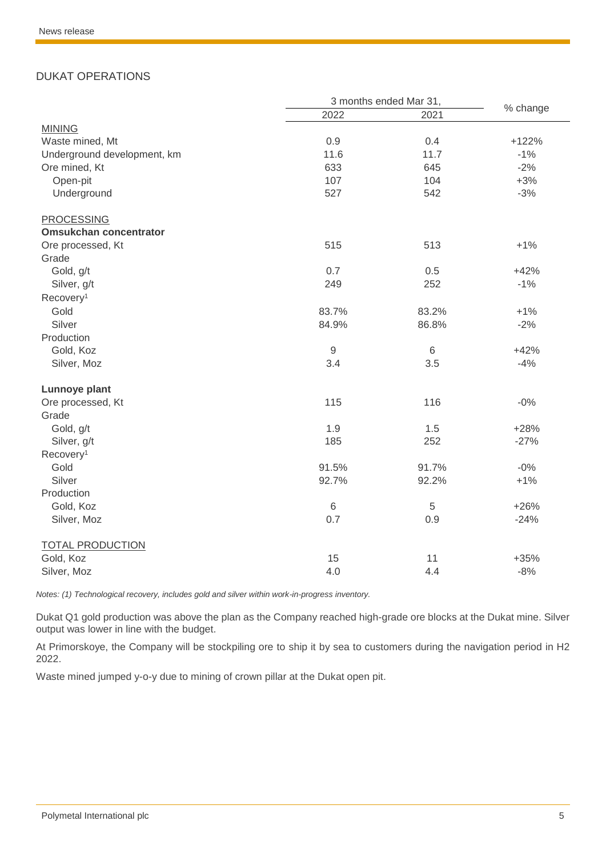### DUKAT OPERATIONS

|                               |       | 3 months ended Mar 31, |          |
|-------------------------------|-------|------------------------|----------|
|                               | 2022  | 2021                   | % change |
| <b>MINING</b>                 |       |                        |          |
| Waste mined, Mt               | 0.9   | 0.4                    | $+122%$  |
| Underground development, km   | 11.6  | 11.7                   | $-1%$    |
| Ore mined, Kt                 | 633   | 645                    | $-2%$    |
| Open-pit                      | 107   | 104                    | $+3%$    |
| Underground                   | 527   | 542                    | $-3%$    |
| <b>PROCESSING</b>             |       |                        |          |
| <b>Omsukchan concentrator</b> |       |                        |          |
| Ore processed, Kt             | 515   | 513                    | $+1%$    |
| Grade                         |       |                        |          |
| Gold, g/t                     | 0.7   | 0.5                    | $+42%$   |
| Silver, g/t                   | 249   | 252                    | $-1%$    |
| Recovery <sup>1</sup>         |       |                        |          |
| Gold                          | 83.7% | 83.2%                  | $+1%$    |
| Silver                        | 84.9% | 86.8%                  | $-2%$    |
| Production                    |       |                        |          |
| Gold, Koz                     | $9\,$ | $\,6\,$                | $+42%$   |
| Silver, Moz                   | 3.4   | 3.5                    | $-4%$    |
| Lunnoye plant                 |       |                        |          |
| Ore processed, Kt             | 115   | 116                    | $-0%$    |
| Grade                         |       |                        |          |
| Gold, g/t                     | 1.9   | 1.5                    | $+28%$   |
| Silver, g/t                   | 185   | 252                    | $-27%$   |
| Recovery <sup>1</sup>         |       |                        |          |
| Gold                          | 91.5% | 91.7%                  | $-0%$    |
| Silver                        | 92.7% | 92.2%                  | $+1%$    |
| Production                    |       |                        |          |
| Gold, Koz                     | $6\,$ | 5                      | $+26%$   |
| Silver, Moz                   | 0.7   | 0.9                    | $-24%$   |
| <b>TOTAL PRODUCTION</b>       |       |                        |          |
| Gold, Koz                     | 15    | 11                     | $+35%$   |
| Silver, Moz                   | 4.0   | 4.4                    | $-8%$    |

*Notes: (1) Technological recovery, includes gold and silver within work-in-progress inventory.*

Dukat Q1 gold production was above the plan as the Company reached high-grade ore blocks at the Dukat mine. Silver output was lower in line with the budget.

At Primorskoye, the Company will be stockpiling ore to ship it by sea to customers during the navigation period in H2 2022.

Waste mined jumped y-o-y due to mining of crown pillar at the Dukat open pit.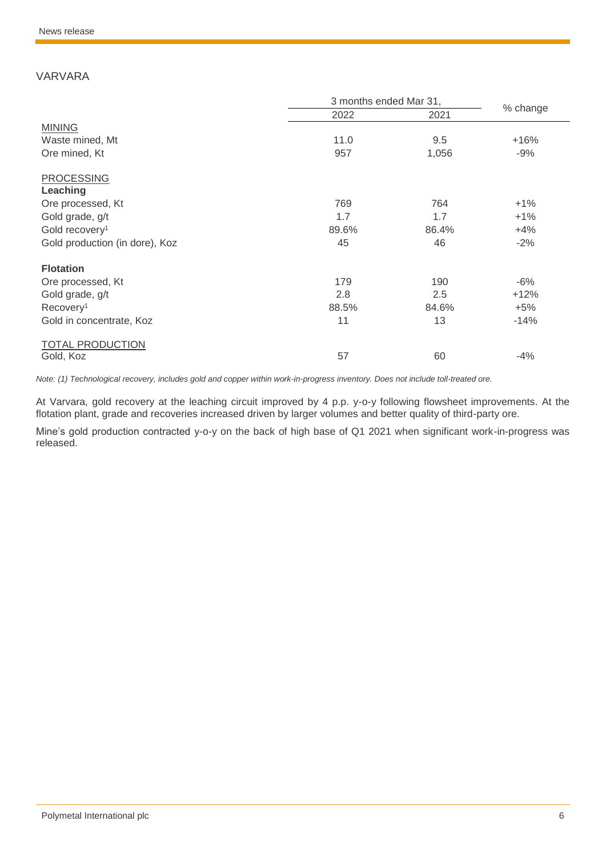### VARVARA

|                                | 3 months ended Mar 31, |       |          |
|--------------------------------|------------------------|-------|----------|
|                                | 2022                   | 2021  | % change |
| <b>MINING</b>                  |                        |       |          |
| Waste mined, Mt                | 11.0                   | 9.5   | $+16%$   |
| Ore mined, Kt                  | 957                    | 1,056 | $-9%$    |
| <b>PROCESSING</b>              |                        |       |          |
| Leaching                       |                        |       |          |
| Ore processed, Kt              | 769                    | 764   | $+1%$    |
| Gold grade, g/t                | 1.7                    | 1.7   | $+1%$    |
| Gold recovery <sup>1</sup>     | 89.6%                  | 86.4% | $+4%$    |
| Gold production (in dore), Koz | 45                     | 46    | $-2%$    |
| <b>Flotation</b>               |                        |       |          |
| Ore processed, Kt              | 179                    | 190   | $-6%$    |
| Gold grade, g/t                | 2.8                    | 2.5   | $+12%$   |
| Recovery <sup>1</sup>          | 88.5%                  | 84.6% | $+5%$    |
| Gold in concentrate, Koz       | 11                     | 13    | $-14%$   |
| <b>TOTAL PRODUCTION</b>        |                        |       |          |
| Gold, Koz                      | 57                     | 60    | $-4%$    |

*Note: (1) Technological recovery, includes gold and copper within work-in-progress inventory. Does not include toll-treated ore.*

At Varvara, gold recovery at the leaching circuit improved by 4 p.p. y-o-y following flowsheet improvements. At the flotation plant, grade and recoveries increased driven by larger volumes and better quality of third-party ore.

Mine's gold production contracted y-o-y on the back of high base of Q1 2021 when significant work-in-progress was released.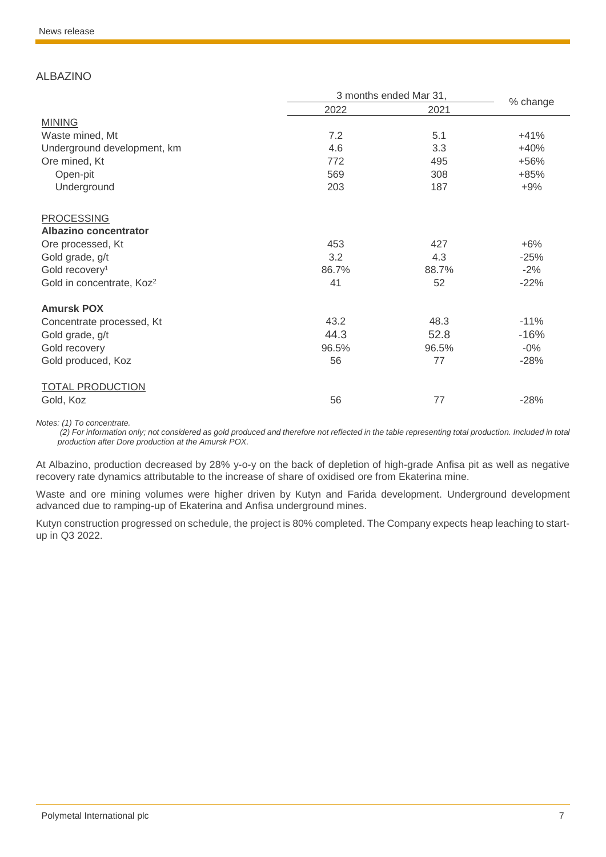### ALBAZINO

|                                       |       | 3 months ended Mar 31, | % change |  |
|---------------------------------------|-------|------------------------|----------|--|
|                                       | 2022  | 2021                   |          |  |
| <b>MINING</b>                         |       |                        |          |  |
| Waste mined, Mt                       | 7.2   | 5.1                    | $+41%$   |  |
| Underground development, km           | 4.6   | 3.3                    | $+40%$   |  |
| Ore mined, Kt                         | 772   | 495                    | +56%     |  |
| Open-pit                              | 569   | 308                    | $+85%$   |  |
| Underground                           | 203   | 187                    | $+9%$    |  |
| <b>PROCESSING</b>                     |       |                        |          |  |
| Albazino concentrator                 |       |                        |          |  |
| Ore processed, Kt                     | 453   | 427                    | $+6%$    |  |
| Gold grade, g/t                       | 3.2   | 4.3                    | $-25%$   |  |
| Gold recovery <sup>1</sup>            | 86.7% | 88.7%                  | $-2%$    |  |
| Gold in concentrate, Koz <sup>2</sup> | 41    | 52                     | $-22%$   |  |
| <b>Amursk POX</b>                     |       |                        |          |  |
| Concentrate processed, Kt             | 43.2  | 48.3                   | $-11%$   |  |
| Gold grade, g/t                       | 44.3  | 52.8                   | $-16%$   |  |
| Gold recovery                         | 96.5% | 96.5%                  | $-0\%$   |  |
| Gold produced, Koz                    | 56    | 77                     | $-28%$   |  |
| <b>TOTAL PRODUCTION</b>               |       |                        |          |  |
| Gold, Koz                             | 56    | 77                     | $-28%$   |  |

*Notes: (1) To concentrate.*

*(2) For information only; not considered as gold produced and therefore not reflected in the table representing total production. Included in total production after Dore production at the Amursk POX.*

At Albazino, production decreased by 28% y-o-y on the back of depletion of high-grade Anfisa pit as well as negative recovery rate dynamics attributable to the increase of share of oxidised ore from Ekaterina mine.

Waste and ore mining volumes were higher driven by Kutyn and Farida development. Underground development advanced due to ramping-up of Ekaterina and Anfisa underground mines.

Kutyn construction progressed on schedule, the project is 80% completed. The Company expects heap leaching to startup in Q3 2022.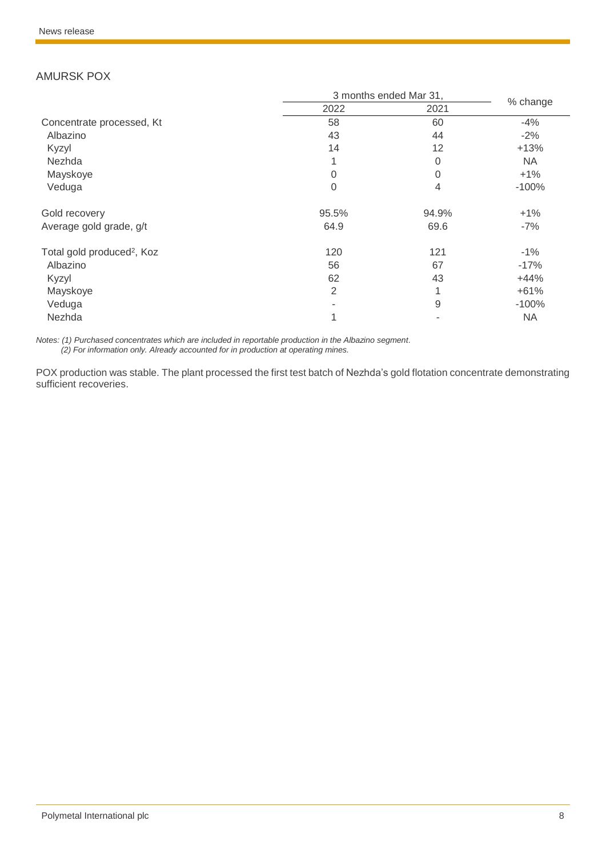### AMURSK POX

|                                        | 3 months ended Mar 31, |                |           |
|----------------------------------------|------------------------|----------------|-----------|
|                                        | 2022                   | 2021           | % change  |
| Concentrate processed, Kt              | 58                     | 60             | $-4%$     |
| Albazino                               | 43                     | 44             | $-2%$     |
| Kyzyl                                  | 14                     | 12             | $+13%$    |
| Nezhda                                 |                        | 0              | <b>NA</b> |
| Mayskoye                               | 0                      | $\overline{0}$ | $+1%$     |
| Veduga                                 | 0                      | 4              | $-100%$   |
| Gold recovery                          | 95.5%                  | 94.9%          | $+1%$     |
| Average gold grade, g/t                | 64.9                   | 69.6           | $-7%$     |
| Total gold produced <sup>2</sup> , Koz | 120                    | 121            | $-1%$     |
| Albazino                               | 56                     | 67             | $-17%$    |
| Kyzyl                                  | 62                     | 43             | $+44%$    |
| Mayskoye                               | 2                      |                | $+61%$    |
| Veduga                                 |                        | 9              | $-100%$   |
| Nezhda                                 |                        |                | <b>NA</b> |

*Notes: (1) Purchased concentrates which are included in reportable production in the Albazino segment. (2) For information only. Already accounted for in production at operating mines.*

POX production was stable. The plant processed the first test batch of Nezhda's gold flotation concentrate demonstrating sufficient recoveries.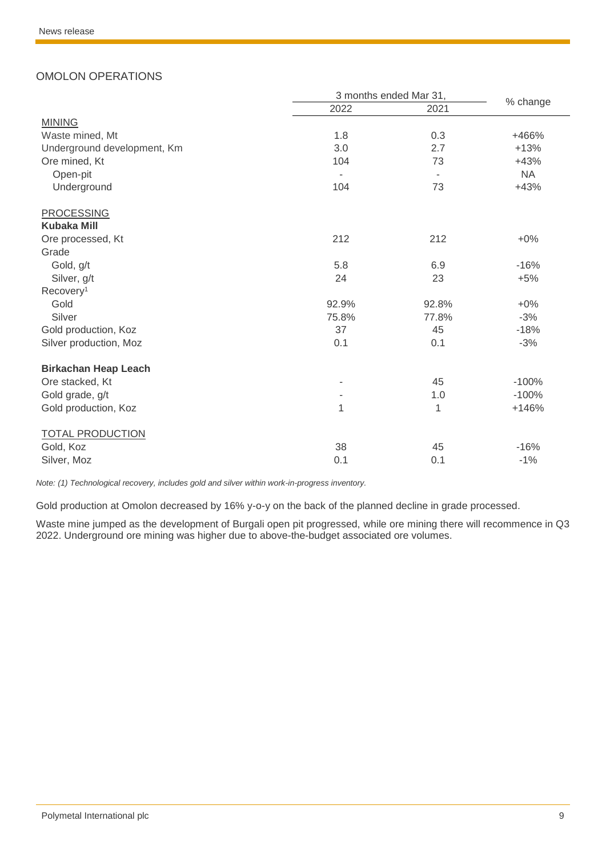### OMOLON OPERATIONS

|                             |                          | 3 months ended Mar 31,   |           |  |
|-----------------------------|--------------------------|--------------------------|-----------|--|
|                             | 2022                     | 2021                     | % change  |  |
| <b>MINING</b>               |                          |                          |           |  |
| Waste mined, Mt             | 1.8                      | 0.3                      | +466%     |  |
| Underground development, Km | 3.0                      | 2.7                      | $+13%$    |  |
| Ore mined, Kt               | 104                      | 73                       | $+43%$    |  |
| Open-pit                    | $\overline{\phantom{a}}$ | $\overline{\phantom{a}}$ | <b>NA</b> |  |
| Underground                 | 104                      | 73                       | $+43%$    |  |
| <b>PROCESSING</b>           |                          |                          |           |  |
| <b>Kubaka Mill</b>          |                          |                          |           |  |
| Ore processed, Kt           | 212                      | 212                      | $+0\%$    |  |
| Grade                       |                          |                          |           |  |
| Gold, g/t                   | 5.8                      | 6.9                      | $-16%$    |  |
| Silver, g/t                 | 24                       | 23                       | $+5%$     |  |
| Recovery <sup>1</sup>       |                          |                          |           |  |
| Gold                        | 92.9%                    | 92.8%                    | $+0\%$    |  |
| Silver                      | 75.8%                    | 77.8%                    | $-3%$     |  |
| Gold production, Koz        | 37                       | 45                       | $-18%$    |  |
| Silver production, Moz      | 0.1                      | 0.1                      | $-3%$     |  |
| <b>Birkachan Heap Leach</b> |                          |                          |           |  |
| Ore stacked, Kt             | ä,                       | 45                       | $-100%$   |  |
| Gold grade, g/t             |                          | 1.0                      | $-100%$   |  |
| Gold production, Koz        | $\mathbf{1}$             | 1                        | $+146%$   |  |
| <b>TOTAL PRODUCTION</b>     |                          |                          |           |  |
| Gold, Koz                   | 38                       | 45                       | $-16%$    |  |
| Silver, Moz                 | 0.1                      | 0.1                      | $-1%$     |  |

*Note: (1) Technological recovery, includes gold and silver within work-in-progress inventory.*

Gold production at Omolon decreased by 16% y-o-y on the back of the planned decline in grade processed.

Waste mine jumped as the development of Burgali open pit progressed, while ore mining there will recommence in Q3 2022. Underground ore mining was higher due to above-the-budget associated ore volumes.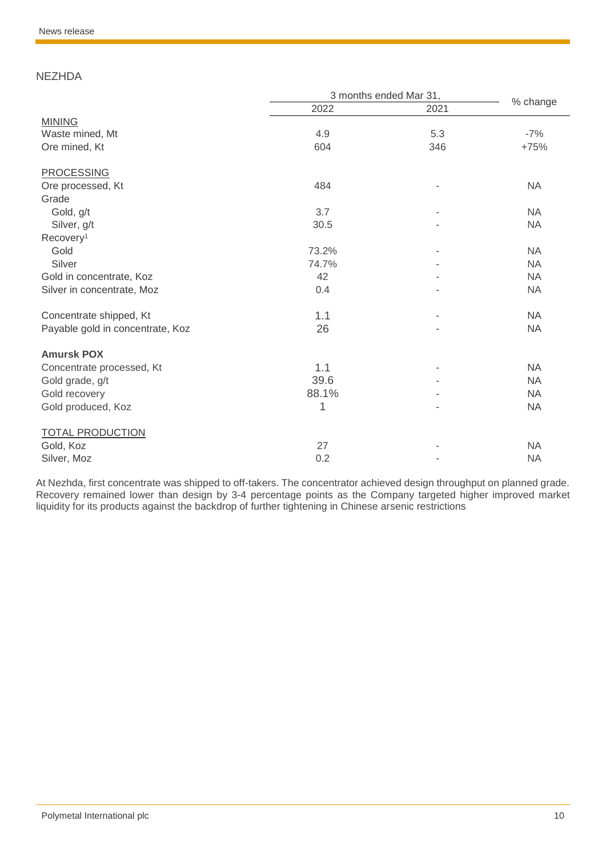### **NEZHDA**

|                                  | 3 months ended Mar 31, |      |           |  |
|----------------------------------|------------------------|------|-----------|--|
|                                  | 2022                   | 2021 | % change  |  |
| <b>MINING</b>                    |                        |      |           |  |
| Waste mined, Mt                  | 4.9                    | 5.3  | $-7%$     |  |
| Ore mined, Kt                    | 604                    | 346  | $+75%$    |  |
| <b>PROCESSING</b>                |                        |      |           |  |
| Ore processed, Kt                | 484                    |      | <b>NA</b> |  |
| Grade                            |                        |      |           |  |
| Gold, g/t                        | 3.7                    |      | <b>NA</b> |  |
| Silver, g/t                      | 30.5                   |      | <b>NA</b> |  |
| Recovery <sup>1</sup>            |                        |      |           |  |
| Gold                             | 73.2%                  |      | <b>NA</b> |  |
| Silver                           | 74.7%                  |      | <b>NA</b> |  |
| Gold in concentrate, Koz         | 42                     |      | <b>NA</b> |  |
| Silver in concentrate, Moz       | 0.4                    |      | <b>NA</b> |  |
| Concentrate shipped, Kt          | 1.1                    |      | <b>NA</b> |  |
| Payable gold in concentrate, Koz | 26                     |      | <b>NA</b> |  |
| <b>Amursk POX</b>                |                        |      |           |  |
| Concentrate processed, Kt        | 1.1                    |      | <b>NA</b> |  |
| Gold grade, g/t                  | 39.6                   |      | <b>NA</b> |  |
| Gold recovery                    | 88.1%                  |      | <b>NA</b> |  |
| Gold produced, Koz               | 1                      |      | <b>NA</b> |  |
| <b>TOTAL PRODUCTION</b>          |                        |      |           |  |
| Gold, Koz                        | 27                     |      | <b>NA</b> |  |
| Silver, Moz                      | 0.2                    |      | <b>NA</b> |  |

At Nezhda, first concentrate was shipped to off-takers. The concentrator achieved design throughput on planned grade. Recovery remained lower than design by 3-4 percentage points as the Company targeted higher improved market liquidity for its products against the backdrop of further tightening in Chinese arsenic restrictions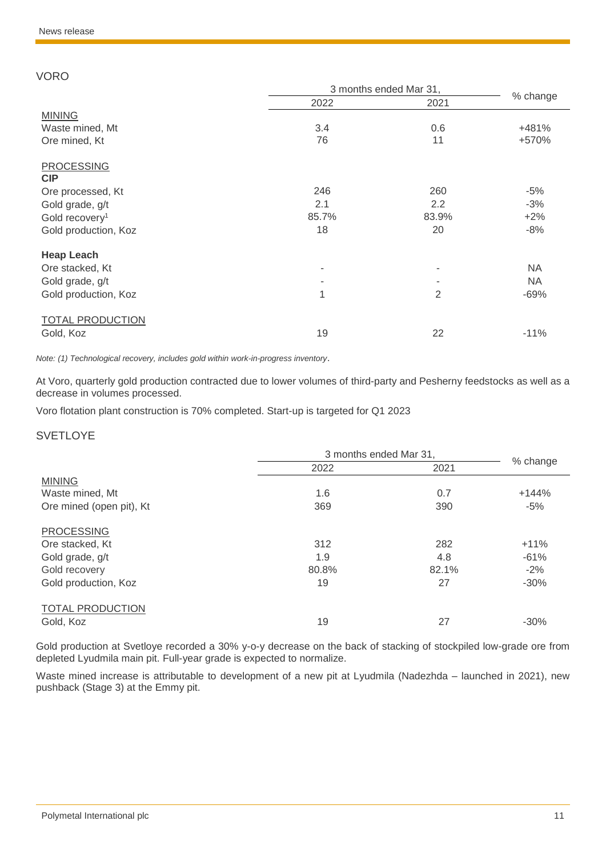#### VORO

|                            | 3 months ended Mar 31, |       | % change  |
|----------------------------|------------------------|-------|-----------|
|                            | 2022                   | 2021  |           |
| <b>MINING</b>              |                        |       |           |
| Waste mined, Mt            | 3.4                    | 0.6   | +481%     |
| Ore mined, Kt              | 76                     | 11    | +570%     |
| <b>PROCESSING</b>          |                        |       |           |
| <b>CIP</b>                 |                        |       |           |
| Ore processed, Kt          | 246                    | 260   | $-5%$     |
| Gold grade, g/t            | 2.1                    | 2.2   | $-3%$     |
| Gold recovery <sup>1</sup> | 85.7%                  | 83.9% | $+2%$     |
| Gold production, Koz       | 18                     | 20    | $-8%$     |
| <b>Heap Leach</b>          |                        |       |           |
| Ore stacked, Kt            |                        | ۰     | <b>NA</b> |
| Gold grade, g/t            |                        |       | <b>NA</b> |
| Gold production, Koz       | 1                      | 2     | $-69%$    |
| <b>TOTAL PRODUCTION</b>    |                        |       |           |
| Gold, Koz                  | 19                     | 22    | $-11%$    |

*Note: (1) Technological recovery, includes gold within work-in-progress inventory*.

At Voro, quarterly gold production contracted due to lower volumes of third-party and Pesherny feedstocks as well as a decrease in volumes processed.

Voro flotation plant construction is 70% completed. Start-up is targeted for Q1 2023

#### **SVETLOYE**

|                          | 3 months ended Mar 31, |       |          |
|--------------------------|------------------------|-------|----------|
|                          | 2022                   | 2021  | % change |
| <b>MINING</b>            |                        |       |          |
| Waste mined, Mt          | 1.6                    | 0.7   | $+144%$  |
| Ore mined (open pit), Kt | 369                    | 390   | $-5%$    |
| <b>PROCESSING</b>        |                        |       |          |
| Ore stacked, Kt          | 312                    | 282   | $+11%$   |
| Gold grade, g/t          | 1.9                    | 4.8   | $-61%$   |
| Gold recovery            | 80.8%                  | 82.1% | $-2%$    |
| Gold production, Koz     | 19                     | 27    | $-30%$   |
| <b>TOTAL PRODUCTION</b>  |                        |       |          |
| Gold, Koz                | 19                     | 27    | $-30%$   |

Gold production at Svetloye recorded a 30% y-o-y decrease on the back of stacking of stockpiled low-grade ore from depleted Lyudmila main pit. Full-year grade is expected to normalize.

Waste mined increase is attributable to development of a new pit at Lyudmila (Nadezhda – launched in 2021), new pushback (Stage 3) at the Emmy pit.